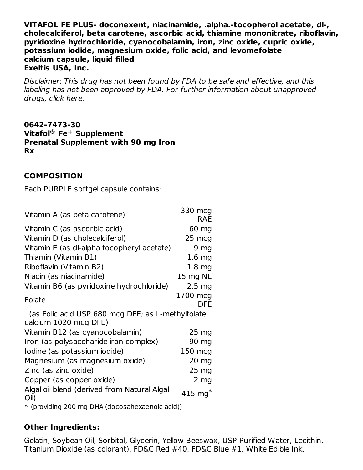**VITAFOL FE PLUS- doconexent, niacinamide, .alpha.-tocopherol acetate, dl-, cholecalciferol, beta carotene, ascorbic acid, thiamine mononitrate, riboflavin, pyridoxine hydrochloride, cyanocobalamin, iron, zinc oxide, cupric oxide, potassium iodide, magnesium oxide, folic acid, and levomefolate calcium capsule, liquid filled Exeltis USA, Inc.**

Disclaimer: This drug has not been found by FDA to be safe and effective, and this labeling has not been approved by FDA. For further information about unapproved drugs, click here.

----------

**0642-7473-30 Vitafol Fe Supplement ® + Prenatal Supplement with 90 mg Iron Rx**

#### **COMPOSITION**

Each PURPLE softgel capsule contains:

| Vitamin A (as beta carotene)                                               | 330 mcg<br><b>RAE</b> |
|----------------------------------------------------------------------------|-----------------------|
| Vitamin C (as ascorbic acid)                                               | 60 mg                 |
| Vitamin D (as cholecalciferol)                                             | 25 mcg                |
| Vitamin E (as dl-alpha tocopheryl acetate)                                 | 9 <sub>mg</sub>       |
| Thiamin (Vitamin B1)                                                       | $1.6$ mg              |
| Riboflavin (Vitamin B2)                                                    | 1.8 <sub>mg</sub>     |
| Niacin (as niacinamide)                                                    | 15 mg NE              |
| Vitamin B6 (as pyridoxine hydrochloride)                                   | $2.5 \text{ mg}$      |
| Folate                                                                     | 1700 mcg<br>DFE.      |
| (as Folic acid USP 680 mcg DFE; as L-methylfolate<br>calcium 1020 mcg DFE) |                       |
| Vitamin B12 (as cyanocobalamin)                                            | $25 \mathrm{mg}$      |
| Iron (as polysaccharide iron complex)                                      | 90 mg                 |
| Iodine (as potassium iodide)                                               | 150 mcg               |
| Magnesium (as magnesium oxide)                                             | 20 mg                 |
| Zinc (as zinc oxide)                                                       | $25 \mathrm{mg}$      |
| Copper (as copper oxide)                                                   | $2 \, mg$             |
| Algal oil blend (derived from Natural Algal<br>$O$ il)                     | 415 $mg*$             |
| * (providing 200 mg DHA (docosahexaenoic acid))                            |                       |

#### **Other Ingredients:**

Gelatin, Soybean Oil, Sorbitol, Glycerin, Yellow Beeswax, USP Purified Water, Lecithin, Titanium Dioxide (as colorant), FD&C Red #40, FD&C Blue #1, White Edible Ink.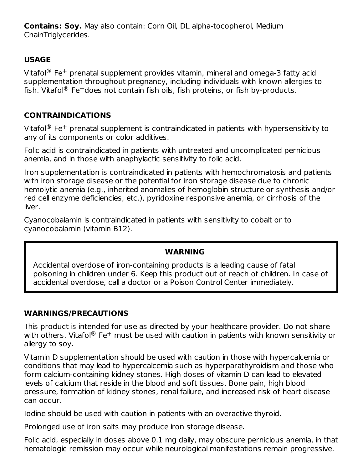**Contains: Soy.** May also contain: Corn Oil, DL alpha-tocopherol, Medium ChainTriglycerides.

## **USAGE**

Vitafol ${}^{\circledR}$  Fe<sup>+</sup> prenatal supplement provides vitamin, mineral and omega-3 fatty acid supplementation throughout pregnancy, including individuals with known allergies to fish. Vitafol ${}^{\circledR}$  Fe $^+$ does not contain fish oils, fish proteins, or fish by-products.

## **CONTRAINDICATIONS**

Vitafol ${}^{\circledR}$  Fe<sup>+</sup> prenatal supplement is contraindicated in patients with hypersensitivity to any of its components or color additives.

Folic acid is contraindicated in patients with untreated and uncomplicated pernicious anemia, and in those with anaphylactic sensitivity to folic acid.

Iron supplementation is contraindicated in patients with hemochromatosis and patients with iron storage disease or the potential for iron storage disease due to chronic hemolytic anemia (e.g., inherited anomalies of hemoglobin structure or synthesis and/or red cell enzyme deficiencies, etc.), pyridoxine responsive anemia, or cirrhosis of the liver.

Cyanocobalamin is contraindicated in patients with sensitivity to cobalt or to cyanocobalamin (vitamin B12).

#### **WARNING**

Accidental overdose of iron-containing products is a leading cause of fatal poisoning in children under 6. Keep this product out of reach of children. In case of accidental overdose, call a doctor or a Poison Control Center immediately.

#### **WARNINGS/PRECAUTIONS**

This product is intended for use as directed by your healthcare provider. Do not share with others. Vitafol® Fe $^+$  must be used with caution in patients with known sensitivity or allergy to soy.

Vitamin D supplementation should be used with caution in those with hypercalcemia or conditions that may lead to hypercalcemia such as hyperparathyroidism and those who form calcium-containing kidney stones. High doses of vitamin D can lead to elevated levels of calcium that reside in the blood and soft tissues. Bone pain, high blood pressure, formation of kidney stones, renal failure, and increased risk of heart disease can occur.

Iodine should be used with caution in patients with an overactive thyroid.

Prolonged use of iron salts may produce iron storage disease.

Folic acid, especially in doses above 0.1 mg daily, may obscure pernicious anemia, in that hematologic remission may occur while neurological manifestations remain progressive.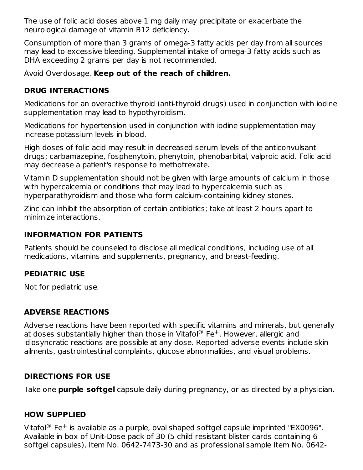The use of folic acid doses above 1 mg daily may precipitate or exacerbate the neurological damage of vitamin B12 deficiency.

Consumption of more than 3 grams of omega-3 fatty acids per day from all sources may lead to excessive bleeding. Supplemental intake of omega-3 fatty acids such as DHA exceeding 2 grams per day is not recommended.

Avoid Overdosage. **Keep out of the reach of children.**

## **DRUG INTERACTIONS**

Medications for an overactive thyroid (anti-thyroid drugs) used in conjunction with iodine supplementation may lead to hypothyroidism.

Medications for hypertension used in conjunction with iodine supplementation may increase potassium levels in blood.

High doses of folic acid may result in decreased serum levels of the anticonvulsant drugs; carbamazepine, fosphenytoin, phenytoin, phenobarbital, valproic acid. Folic acid may decrease a patient's response to methotrexate.

Vitamin D supplementation should not be given with large amounts of calcium in those with hypercalcemia or conditions that may lead to hypercalcemia such as hyperparathyroidism and those who form calcium-containing kidney stones.

Zinc can inhibit the absorption of certain antibiotics; take at least 2 hours apart to minimize interactions.

## **INFORMATION FOR PATIENTS**

Patients should be counseled to disclose all medical conditions, including use of all medications, vitamins and supplements, pregnancy, and breast-feeding.

## **PEDIATRIC USE**

Not for pediatric use.

## **ADVERSE REACTIONS**

Adverse reactions have been reported with specific vitamins and minerals, but generally at doses substantially higher than those in Vitafol® Fe $^+$ . However, allergic and idiosyncratic reactions are possible at any dose. Reported adverse events include skin ailments, gastrointestinal complaints, glucose abnormalities, and visual problems.

## **DIRECTIONS FOR USE**

Take one **purple softgel** capsule daily during pregnancy, or as directed by a physician.

## **HOW SUPPLIED**

Vitafol ${}^{\circledR}$  Fe<sup>+</sup> is available as a purple, oval shaped softgel capsule imprinted "EX0096". Available in box of Unit-Dose pack of 30 (5 child resistant blister cards containing 6 softgel capsules), Item No. 0642-7473-30 and as professional sample Item No. 0642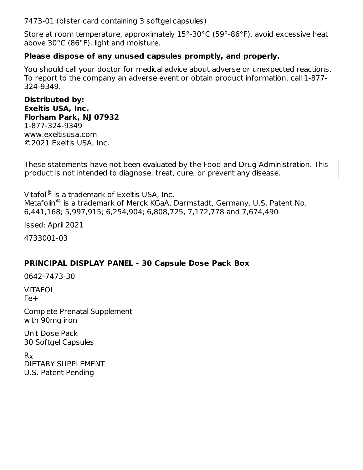7473-01 (blister card containing 3 softgel capsules)

Store at room temperature, approximately 15°-30°C (59°-86°F), avoid excessive heat above 30°C (86°F), light and moisture.

#### **Please dispose of any unused capsules promptly, and properly.**

You should call your doctor for medical advice about adverse or unexpected reactions. To report to the company an adverse event or obtain product information, call 1-877- 324-9349.

**Distributed by: Exeltis USA, Inc. Florham Park, NJ 07932** 1-877-324-9349 www.exeltisusa.com ©2021 Exeltis USA, Inc.

These statements have not been evaluated by the Food and Drug Administration. This product is not intended to diagnose, treat, cure, or prevent any disease.

Vitafol ${}^{\circledR}$  is a trademark of Exeltis USA, Inc. Metafolin $^{\circledR}$  is a trademark of Merck KGaA, Darmstadt, Germany. U.S. Patent No. 6,441,168; 5,997,915; 6,254,904; 6,808,725, 7,172,778 and 7,674,490

Issed: April 2021

4733001-03

#### **PRINCIPAL DISPLAY PANEL - 30 Capsule Dose Pack Box**

0642-7473-30

VITAFOL Fe+

Complete Prenatal Supplement with 90mg iron

Unit Dose Pack 30 Softgel Capsules

R XDIETARY SUPPLEMENT U.S. Patent Pending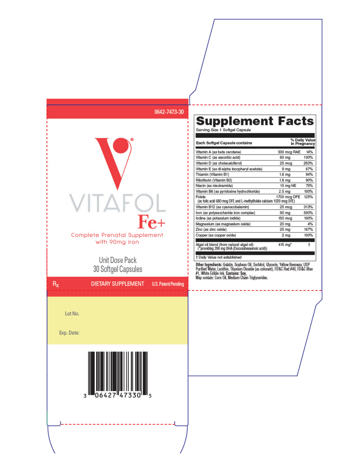

# Supplement Facts

| % Daily Value<br>Each Softgel Capsule contains<br>in Pregnancy                |                     |      |  |  |
|-------------------------------------------------------------------------------|---------------------|------|--|--|
| Vitamin A (as beta carotene)                                                  | 330 mcg RAE         | 14%  |  |  |
| Vitamin C (as ascorbic acid)                                                  | 60 mg               | 100% |  |  |
| Vitamin D (as cholecalciferol)                                                | 25 mcg              | 250% |  |  |
| Vitamin E (as di-alpha tocopheryl acetate)                                    | 9 <sub>mg</sub>     | 67%  |  |  |
| Thiamin (Vitamin B1)                                                          | 1.6 <sub>mg</sub>   | 94%  |  |  |
| Riboflavin (Vitamin B2)                                                       | 1.8 <sub>mg</sub>   | 90%  |  |  |
| Niacin (as niacinamide)                                                       | 15 mg NE            | 75%  |  |  |
| Vitamin B6 (as pyridoxine hydrochloride)                                      | 2.5 <sub>mg</sub>   | 100% |  |  |
| Folate<br>(as folic acid 680 mcg DFE and L-methylfolate calcium 1020 mcg DFE) | 1700 mcg DFE        | 125% |  |  |
| Vitamin B12 (as cyanocobalamin)                                               | 25 mcg              | 313% |  |  |
| Iron (as polysaccharide iron complex)                                         | 90 mg               | 500% |  |  |
| lodine (as potassium iodide)                                                  | 150 mcg             | 100% |  |  |
| Magnesium (as magnesium oxide)                                                | 20 <sub>mg</sub>    | 4%   |  |  |
| Zinc (as zinc oxide)                                                          | 25 mg               | 167% |  |  |
| Copper (as copper oxide)                                                      | 2 <sub>mg</sub>     | 100% |  |  |
| Algal oil bland (from natural algal oil)                                      | $415 \text{ mol}^*$ | ÷    |  |  |

" providing 200 mg DHA (Docosahexaenoic acid))

#### † Daily Value not established

Other Ingredients: Gelatin, Soybean Oil, Sorbitol, Glycerin, Yellow Beeswax, USP<br>Purified Water, Lecithin, Titanium Dioxide (as colorant), FD&C Red #40, FD&C Blue<br>#1, White Edible Ink. Contains: Soy.<br>May contain: Corn Oil,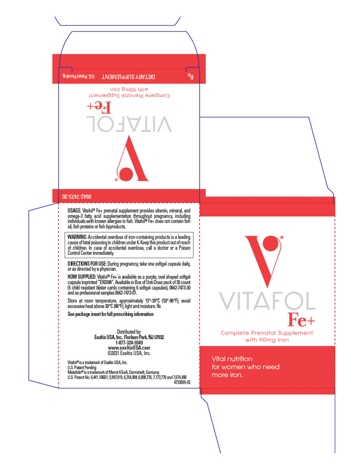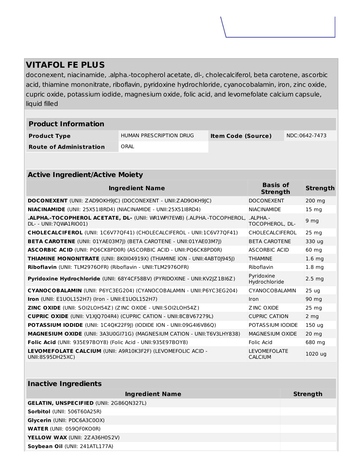## **VITAFOL FE PLUS**

doconexent, niacinamide, .alpha.-tocopherol acetate, dl-, cholecalciferol, beta carotene, ascorbic acid, thiamine mononitrate, riboflavin, pyridoxine hydrochloride, cyanocobalamin, iron, zinc oxide, cupric oxide, potassium iodide, magnesium oxide, folic acid, and levomefolate calcium capsule, liquid filled

| <b>Product Information</b>     |                         |                           |               |  |
|--------------------------------|-------------------------|---------------------------|---------------|--|
| <b>Product Type</b>            | HUMAN PRESCRIPTION DRUG | <b>Item Code (Source)</b> | NDC:0642-7473 |  |
| <b>Route of Administration</b> | ORAL                    |                           |               |  |

| <b>Active Ingredient/Active Moiety</b>                                                            |                                            |                   |  |  |
|---------------------------------------------------------------------------------------------------|--------------------------------------------|-------------------|--|--|
| <b>Ingredient Name</b>                                                                            | <b>Basis of</b><br><b>Strength</b>         | <b>Strength</b>   |  |  |
| <b>DOCONEXENT</b> (UNII: ZAD9OKH9JC) (DOCONEXENT - UNII:ZAD9OKH9JC)                               | <b>DOCONEXENT</b>                          | 200 mg            |  |  |
| <b>NIACINAMIDE</b> (UNII: 25X51I8RD4) (NIACINAMIDE - UNII:25X51I8RD4)                             | <b>NIACINAMIDE</b>                         | 15 <sub>mg</sub>  |  |  |
| .ALPHA.-TOCOPHEROL ACETATE, DL- (UNII: WR1WPI7EW8) (.ALPHA.-TOCOPHEROL,<br>DL- - UNII:70WA1RIO01) | $.$ Al PHA $.$ -<br><b>TOCOPHEROL, DL-</b> | 9 <sub>mg</sub>   |  |  |
| CHOLECALCIFEROL (UNII: 1C6V77QF41) (CHOLECALCIFEROL - UNII:1C6V77QF41)                            | <b>CHOLECALCIFEROL</b>                     | $25 \text{ mg}$   |  |  |
| <b>BETA CAROTENE</b> (UNII: 01YAE03M7J) (BETA CAROTENE - UNII:01YAE03M7J)                         | <b>BETA CAROTENE</b>                       | 330 ug            |  |  |
| <b>ASCORBIC ACID (UNII: PO6CK8PDOR) (ASCORBIC ACID - UNII:PO6CK8PDOR)</b>                         | ASCORBIC ACID                              | 60 mg             |  |  |
| THIAMINE MONONITRATE (UNII: 8K0104919X) (THIAMINE ION - UNII:4ABT0J945J)                          | <b>THIAMINE</b>                            | 1.6 <sub>mg</sub> |  |  |
| Riboflavin (UNII: TLM2976OFR) (Riboflavin - UNII:TLM2976OFR)                                      | Riboflavin                                 | 1.8 <sub>ma</sub> |  |  |
| Pyridoxine Hydrochloride (UNII: 68Y4CF58BV) (PYRIDOXINE - UNII:KV2JZ1BI6Z)                        | Pyridoxine<br>Hydrochloride                | 2.5 <sub>ma</sub> |  |  |
| CYANOCOBALAMIN (UNII: P6YC3EG204) (CYANOCOBALAMIN - UNII:P6YC3EG204)                              | CYANOCOBALAMIN                             | 25 <sub>uq</sub>  |  |  |
| Iron (UNII: E1UOL152H7) (Iron - UNII:E1UOL152H7)                                                  | <b>Iron</b>                                | 90 mg             |  |  |
| <b>ZINC OXIDE (UNII: SOI2LOH54Z) (ZINC OXIDE - UNII: SOI2LOH54Z)</b>                              | ZINC OXIDE                                 | $25 \text{ ma}$   |  |  |
| <b>CUPRIC OXIDE</b> (UNII: V1XJQ704R4) (CUPRIC CATION - UNII:8CBV67279L)                          | <b>CUPRIC CATION</b>                       | 2 <sub>mg</sub>   |  |  |
| POTASSIUM IODIDE (UNII: 1C4QK22F9J) (IODIDE ION - UNII:09G4I6V86Q)                                | POTASSIUM IODIDE                           | 150 <sub>uq</sub> |  |  |
| <b>MAGNESIUM OXIDE</b> (UNII: 3A3U0GI71G) (MAGNESIUM CATION - UNII:T6V3LHY838)                    | MAGNESIUM OXIDE                            | $20 \text{ mg}$   |  |  |
| Folic Acid (UNII: 935E97BOY8) (Folic Acid - UNII:935E97BOY8)                                      | Folic Acid                                 | 680 ma            |  |  |
| LEVOMEFOLATE CALCIUM (UNII: A9R10K3F2F) (LEVOMEFOLIC ACID -<br>UNII:8S95DH25XC)                   | <b>LEVOMEFOLATE</b><br><b>CALCIUM</b>      | 1020 ug           |  |  |

| <b>Inactive Ingredients</b>                    |                 |  |  |  |
|------------------------------------------------|-----------------|--|--|--|
| <b>Ingredient Name</b>                         | <b>Strength</b> |  |  |  |
| <b>GELATIN, UNSPECIFIED (UNII: 2G86QN327L)</b> |                 |  |  |  |
| <b>Sorbitol</b> (UNII: 506T60A25R)             |                 |  |  |  |
| Glycerin (UNII: PDC6A3C0OX)                    |                 |  |  |  |
| <b>WATER (UNII: 059QF0KO0R)</b>                |                 |  |  |  |
| <b>YELLOW WAX (UNII: 2ZA36H0S2V)</b>           |                 |  |  |  |
| Soybean Oil (UNII: 241ATL177A)                 |                 |  |  |  |